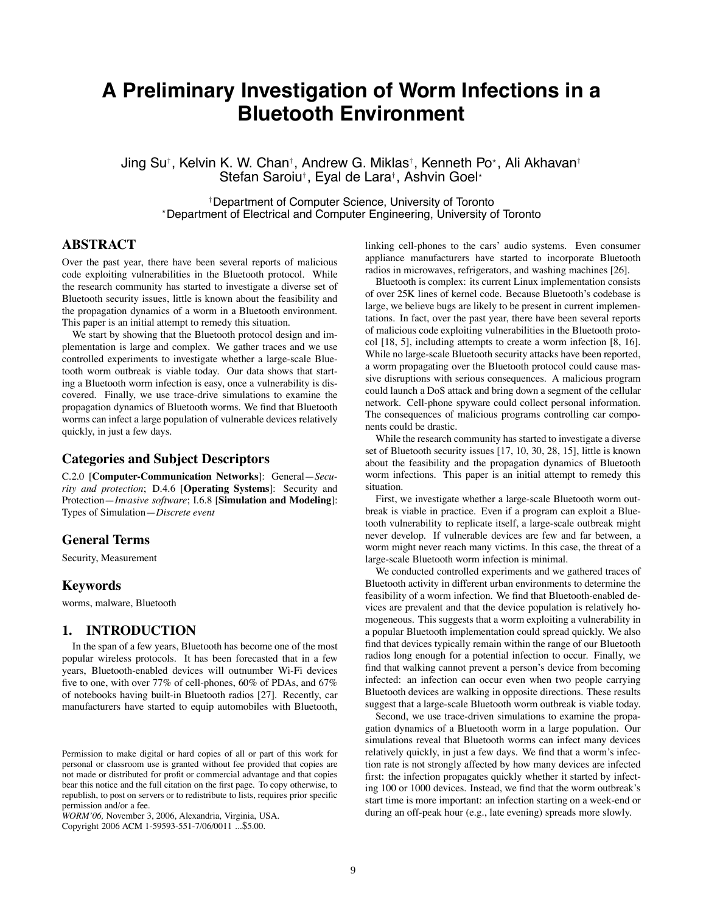# **A Preliminary Investigation of Worm Infections in a Bluetooth Environment**

Jing Su*†*, Kelvin K. W. Chan*†*, Andrew G. Miklas*†*, Kenneth Po-, Ali Akhavan*†* Stefan Saroiu*†*, Eyal de Lara*†*, Ashvin Goel-

*†*Department of Computer Science, University of Toronto -Department of Electrical and Computer Engineering, University of Toronto

# **ABSTRACT**

Over the past year, there have been several reports of malicious code exploiting vulnerabilities in the Bluetooth protocol. While the research community has started to investigate a diverse set of Bluetooth security issues, little is known about the feasibility and the propagation dynamics of a worm in a Bluetooth environment. This paper is an initial attempt to remedy this situation.

We start by showing that the Bluetooth protocol design and implementation is large and complex. We gather traces and we use controlled experiments to investigate whether a large-scale Bluetooth worm outbreak is viable today. Our data shows that starting a Bluetooth worm infection is easy, once a vulnerability is discovered. Finally, we use trace-drive simulations to examine the propagation dynamics of Bluetooth worms. We find that Bluetooth worms can infect a large population of vulnerable devices relatively quickly, in just a few days.

## **Categories and Subject Descriptors**

C.2.0 [**Computer-Communication Networks**]: General—*Security and protection*; D.4.6 [**Operating Systems**]: Security and Protection—*Invasive software*; I.6.8 [**Simulation and Modeling**]: Types of Simulation—*Discrete event*

# **General Terms**

Security, Measurement

# **Keywords**

worms, malware, Bluetooth

# **1. INTRODUCTION**

In the span of a few years, Bluetooth has become one of the most popular wireless protocols. It has been forecasted that in a few years, Bluetooth-enabled devices will outnumber Wi-Fi devices five to one, with over 77% of cell-phones, 60% of PDAs, and 67% of notebooks having built-in Bluetooth radios [27]. Recently, car manufacturers have started to equip automobiles with Bluetooth,

Copyright 2006 ACM 1-59593-551-7/06/0011 ...\$5.00.

linking cell-phones to the cars' audio systems. Even consumer appliance manufacturers have started to incorporate Bluetooth radios in microwaves, refrigerators, and washing machines [26].

Bluetooth is complex: its current Linux implementation consists of over 25K lines of kernel code. Because Bluetooth's codebase is large, we believe bugs are likely to be present in current implementations. In fact, over the past year, there have been several reports of malicious code exploiting vulnerabilities in the Bluetooth protocol [18, 5], including attempts to create a worm infection [8, 16]. While no large-scale Bluetooth security attacks have been reported, a worm propagating over the Bluetooth protocol could cause massive disruptions with serious consequences. A malicious program could launch a DoS attack and bring down a segment of the cellular network. Cell-phone spyware could collect personal information. The consequences of malicious programs controlling car components could be drastic.

While the research community has started to investigate a diverse set of Bluetooth security issues [17, 10, 30, 28, 15], little is known about the feasibility and the propagation dynamics of Bluetooth worm infections. This paper is an initial attempt to remedy this situation.

First, we investigate whether a large-scale Bluetooth worm outbreak is viable in practice. Even if a program can exploit a Bluetooth vulnerability to replicate itself, a large-scale outbreak might never develop. If vulnerable devices are few and far between, a worm might never reach many victims. In this case, the threat of a large-scale Bluetooth worm infection is minimal.

We conducted controlled experiments and we gathered traces of Bluetooth activity in different urban environments to determine the feasibility of a worm infection. We find that Bluetooth-enabled devices are prevalent and that the device population is relatively homogeneous. This suggests that a worm exploiting a vulnerability in a popular Bluetooth implementation could spread quickly. We also find that devices typically remain within the range of our Bluetooth radios long enough for a potential infection to occur. Finally, we find that walking cannot prevent a person's device from becoming infected: an infection can occur even when two people carrying Bluetooth devices are walking in opposite directions. These results suggest that a large-scale Bluetooth worm outbreak is viable today.

Second, we use trace-driven simulations to examine the propagation dynamics of a Bluetooth worm in a large population. Our simulations reveal that Bluetooth worms can infect many devices relatively quickly, in just a few days. We find that a worm's infection rate is not strongly affected by how many devices are infected first: the infection propagates quickly whether it started by infecting 100 or 1000 devices. Instead, we find that the worm outbreak's start time is more important: an infection starting on a week-end or during an off-peak hour (e.g., late evening) spreads more slowly.

Permission to make digital or hard copies of all or part of this work for personal or classroom use is granted without fee provided that copies are not made or distributed for profit or commercial advantage and that copies bear this notice and the full citation on the first page. To copy otherwise, to republish, to post on servers or to redistribute to lists, requires prior specific permission and/or a fee.

*WORM'06,* November 3, 2006, Alexandria, Virginia, USA.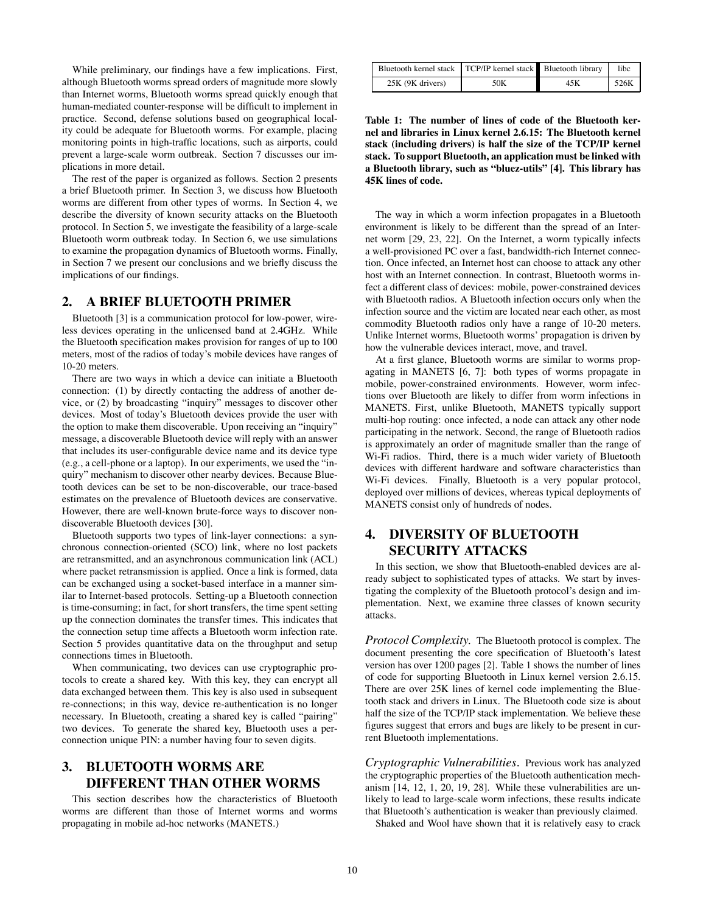While preliminary, our findings have a few implications. First, although Bluetooth worms spread orders of magnitude more slowly than Internet worms, Bluetooth worms spread quickly enough that human-mediated counter-response will be difficult to implement in practice. Second, defense solutions based on geographical locality could be adequate for Bluetooth worms. For example, placing monitoring points in high-traffic locations, such as airports, could prevent a large-scale worm outbreak. Section 7 discusses our implications in more detail.

The rest of the paper is organized as follows. Section 2 presents a brief Bluetooth primer. In Section 3, we discuss how Bluetooth worms are different from other types of worms. In Section 4, we describe the diversity of known security attacks on the Bluetooth protocol. In Section 5, we investigate the feasibility of a large-scale Bluetooth worm outbreak today. In Section 6, we use simulations to examine the propagation dynamics of Bluetooth worms. Finally, in Section 7 we present our conclusions and we briefly discuss the implications of our findings.

#### **2. A BRIEF BLUETOOTH PRIMER**

Bluetooth [3] is a communication protocol for low-power, wireless devices operating in the unlicensed band at 2.4GHz. While the Bluetooth specification makes provision for ranges of up to 100 meters, most of the radios of today's mobile devices have ranges of 10-20 meters.

There are two ways in which a device can initiate a Bluetooth connection: (1) by directly contacting the address of another device, or (2) by broadcasting "inquiry" messages to discover other devices. Most of today's Bluetooth devices provide the user with the option to make them discoverable. Upon receiving an "inquiry" message, a discoverable Bluetooth device will reply with an answer that includes its user-configurable device name and its device type (e.g., a cell-phone or a laptop). In our experiments, we used the "inquiry" mechanism to discover other nearby devices. Because Bluetooth devices can be set to be non-discoverable, our trace-based estimates on the prevalence of Bluetooth devices are conservative. However, there are well-known brute-force ways to discover nondiscoverable Bluetooth devices [30].

Bluetooth supports two types of link-layer connections: a synchronous connection-oriented (SCO) link, where no lost packets are retransmitted, and an asynchronous communication link (ACL) where packet retransmission is applied. Once a link is formed, data can be exchanged using a socket-based interface in a manner similar to Internet-based protocols. Setting-up a Bluetooth connection is time-consuming; in fact, for short transfers, the time spent setting up the connection dominates the transfer times. This indicates that the connection setup time affects a Bluetooth worm infection rate. Section 5 provides quantitative data on the throughput and setup connections times in Bluetooth.

When communicating, two devices can use cryptographic protocols to create a shared key. With this key, they can encrypt all data exchanged between them. This key is also used in subsequent re-connections; in this way, device re-authentication is no longer necessary. In Bluetooth, creating a shared key is called "pairing" two devices. To generate the shared key, Bluetooth uses a perconnection unique PIN: a number having four to seven digits.

# **3. BLUETOOTH WORMS ARE DIFFERENT THAN OTHER WORMS**

This section describes how the characteristics of Bluetooth worms are different than those of Internet worms and worms propagating in mobile ad-hoc networks (MANETS.)

| Bluetooth kernel stack TCP/IP kernel stack Bluetooth library |     |      | libc |
|--------------------------------------------------------------|-----|------|------|
| 25K (9K drivers)                                             | 50K | 45 K | 526K |

**Table 1: The number of lines of code of the Bluetooth kernel and libraries in Linux kernel 2.6.15: The Bluetooth kernel stack (including drivers) is half the size of the TCP/IP kernel stack. To support Bluetooth, an application must be linked with a Bluetooth library, such as "bluez-utils" [4]. This library has 45K lines of code.**

The way in which a worm infection propagates in a Bluetooth environment is likely to be different than the spread of an Internet worm [29, 23, 22]. On the Internet, a worm typically infects a well-provisioned PC over a fast, bandwidth-rich Internet connection. Once infected, an Internet host can choose to attack any other host with an Internet connection. In contrast, Bluetooth worms infect a different class of devices: mobile, power-constrained devices with Bluetooth radios. A Bluetooth infection occurs only when the infection source and the victim are located near each other, as most commodity Bluetooth radios only have a range of 10-20 meters. Unlike Internet worms, Bluetooth worms' propagation is driven by how the vulnerable devices interact, move, and travel.

At a first glance, Bluetooth worms are similar to worms propagating in MANETS [6, 7]: both types of worms propagate in mobile, power-constrained environments. However, worm infections over Bluetooth are likely to differ from worm infections in MANETS. First, unlike Bluetooth, MANETS typically support multi-hop routing: once infected, a node can attack any other node participating in the network. Second, the range of Bluetooth radios is approximately an order of magnitude smaller than the range of Wi-Fi radios. Third, there is a much wider variety of Bluetooth devices with different hardware and software characteristics than Wi-Fi devices. Finally, Bluetooth is a very popular protocol, deployed over millions of devices, whereas typical deployments of MANETS consist only of hundreds of nodes.

# **4. DIVERSITY OF BLUETOOTH SECURITY ATTACKS**

In this section, we show that Bluetooth-enabled devices are already subject to sophisticated types of attacks. We start by investigating the complexity of the Bluetooth protocol's design and implementation. Next, we examine three classes of known security attacks.

*Protocol Complexity.* The Bluetooth protocol is complex. The document presenting the core specification of Bluetooth's latest version has over 1200 pages [2]. Table 1 shows the number of lines of code for supporting Bluetooth in Linux kernel version 2.6.15. There are over 25K lines of kernel code implementing the Bluetooth stack and drivers in Linux. The Bluetooth code size is about half the size of the TCP/IP stack implementation. We believe these figures suggest that errors and bugs are likely to be present in current Bluetooth implementations.

*Cryptographic Vulnerabilities.* Previous work has analyzed the cryptographic properties of the Bluetooth authentication mechanism [14, 12, 1, 20, 19, 28]. While these vulnerabilities are unlikely to lead to large-scale worm infections, these results indicate that Bluetooth's authentication is weaker than previously claimed.

Shaked and Wool have shown that it is relatively easy to crack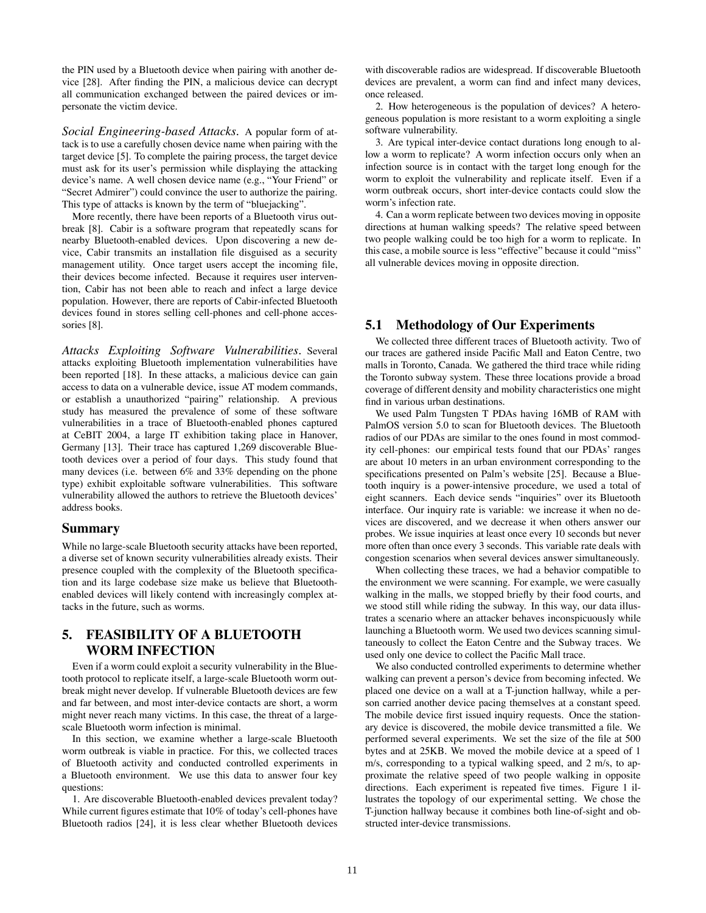the PIN used by a Bluetooth device when pairing with another device [28]. After finding the PIN, a malicious device can decrypt all communication exchanged between the paired devices or impersonate the victim device.

*Social Engineering-based Attacks.* A popular form of attack is to use a carefully chosen device name when pairing with the target device [5]. To complete the pairing process, the target device must ask for its user's permission while displaying the attacking device's name. A well chosen device name (e.g., "Your Friend" or "Secret Admirer") could convince the user to authorize the pairing. This type of attacks is known by the term of "bluejacking".

More recently, there have been reports of a Bluetooth virus outbreak [8]. Cabir is a software program that repeatedly scans for nearby Bluetooth-enabled devices. Upon discovering a new device, Cabir transmits an installation file disguised as a security management utility. Once target users accept the incoming file, their devices become infected. Because it requires user intervention, Cabir has not been able to reach and infect a large device population. However, there are reports of Cabir-infected Bluetooth devices found in stores selling cell-phones and cell-phone accessories [8].

*Attacks Exploiting Software Vulnerabilities.* Several attacks exploiting Bluetooth implementation vulnerabilities have been reported [18]. In these attacks, a malicious device can gain access to data on a vulnerable device, issue AT modem commands, or establish a unauthorized "pairing" relationship. A previous study has measured the prevalence of some of these software vulnerabilities in a trace of Bluetooth-enabled phones captured at CeBIT 2004, a large IT exhibition taking place in Hanover, Germany [13]. Their trace has captured 1,269 discoverable Bluetooth devices over a period of four days. This study found that many devices (i.e. between 6% and 33% depending on the phone type) exhibit exploitable software vulnerabilities. This software vulnerability allowed the authors to retrieve the Bluetooth devices' address books.

#### **Summary**

While no large-scale Bluetooth security attacks have been reported, a diverse set of known security vulnerabilities already exists. Their presence coupled with the complexity of the Bluetooth specification and its large codebase size make us believe that Bluetoothenabled devices will likely contend with increasingly complex attacks in the future, such as worms.

# **5. FEASIBILITY OF A BLUETOOTH WORM INFECTION**

Even if a worm could exploit a security vulnerability in the Bluetooth protocol to replicate itself, a large-scale Bluetooth worm outbreak might never develop. If vulnerable Bluetooth devices are few and far between, and most inter-device contacts are short, a worm might never reach many victims. In this case, the threat of a largescale Bluetooth worm infection is minimal.

In this section, we examine whether a large-scale Bluetooth worm outbreak is viable in practice. For this, we collected traces of Bluetooth activity and conducted controlled experiments in a Bluetooth environment. We use this data to answer four key questions:

1. Are discoverable Bluetooth-enabled devices prevalent today? While current figures estimate that 10% of today's cell-phones have Bluetooth radios [24], it is less clear whether Bluetooth devices

with discoverable radios are widespread. If discoverable Bluetooth devices are prevalent, a worm can find and infect many devices, once released.

2. How heterogeneous is the population of devices? A heterogeneous population is more resistant to a worm exploiting a single software vulnerability.

3. Are typical inter-device contact durations long enough to allow a worm to replicate? A worm infection occurs only when an infection source is in contact with the target long enough for the worm to exploit the vulnerability and replicate itself. Even if a worm outbreak occurs, short inter-device contacts could slow the worm's infection rate.

4. Can a worm replicate between two devices moving in opposite directions at human walking speeds? The relative speed between two people walking could be too high for a worm to replicate. In this case, a mobile source is less "effective" because it could "miss" all vulnerable devices moving in opposite direction.

## **5.1 Methodology of Our Experiments**

We collected three different traces of Bluetooth activity. Two of our traces are gathered inside Pacific Mall and Eaton Centre, two malls in Toronto, Canada. We gathered the third trace while riding the Toronto subway system. These three locations provide a broad coverage of different density and mobility characteristics one might find in various urban destinations.

We used Palm Tungsten T PDAs having 16MB of RAM with PalmOS version 5.0 to scan for Bluetooth devices. The Bluetooth radios of our PDAs are similar to the ones found in most commodity cell-phones: our empirical tests found that our PDAs' ranges are about 10 meters in an urban environment corresponding to the specifications presented on Palm's website [25]. Because a Bluetooth inquiry is a power-intensive procedure, we used a total of eight scanners. Each device sends "inquiries" over its Bluetooth interface. Our inquiry rate is variable: we increase it when no devices are discovered, and we decrease it when others answer our probes. We issue inquiries at least once every 10 seconds but never more often than once every 3 seconds. This variable rate deals with congestion scenarios when several devices answer simultaneously.

When collecting these traces, we had a behavior compatible to the environment we were scanning. For example, we were casually walking in the malls, we stopped briefly by their food courts, and we stood still while riding the subway. In this way, our data illustrates a scenario where an attacker behaves inconspicuously while launching a Bluetooth worm. We used two devices scanning simultaneously to collect the Eaton Centre and the Subway traces. We used only one device to collect the Pacific Mall trace.

We also conducted controlled experiments to determine whether walking can prevent a person's device from becoming infected. We placed one device on a wall at a T-junction hallway, while a person carried another device pacing themselves at a constant speed. The mobile device first issued inquiry requests. Once the stationary device is discovered, the mobile device transmitted a file. We performed several experiments. We set the size of the file at 500 bytes and at 25KB. We moved the mobile device at a speed of 1 m/s, corresponding to a typical walking speed, and 2 m/s, to approximate the relative speed of two people walking in opposite directions. Each experiment is repeated five times. Figure 1 illustrates the topology of our experimental setting. We chose the T-junction hallway because it combines both line-of-sight and obstructed inter-device transmissions.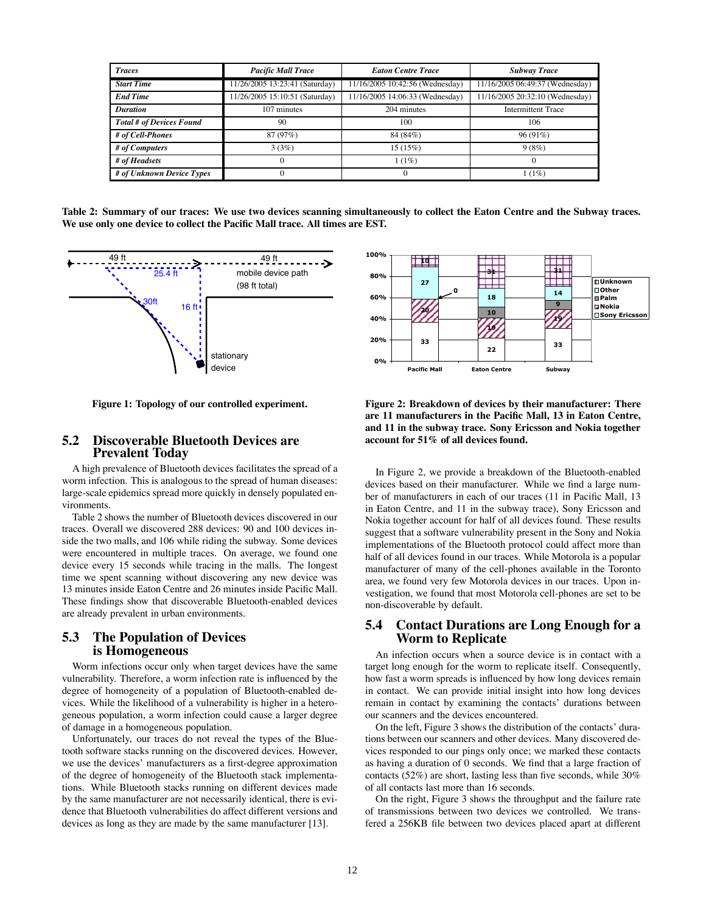| <b>Traces</b>                   | <b>Pacific Mall Trace</b>      | <b>Eaton Centre Trace</b>       | <b>Subway Trace</b>             |
|---------------------------------|--------------------------------|---------------------------------|---------------------------------|
| <b>Start Time</b>               | 11/26/2005 13:23:41 (Saturday) | 11/16/2005 10:42:56 (Wednesday) | 11/16/2005 06:49:37 (Wednesday) |
| <b>End Time</b>                 | 11/26/2005 15:10:51 (Saturday) | 11/16/2005 14:06:33 (Wednesday) | 11/16/2005 20:32:10 (Wednesday) |
| <b>Duration</b>                 | 107 minutes                    | 204 minutes                     | Intermittent Trace              |
| <b>Total # of Devices Found</b> | 90                             | 100                             | 106                             |
| # of Cell-Phones                | 87 (97%)                       | 84 (84%)                        | 96(91%)                         |
| # of Computers                  | 3(3%)                          | 15(15%)                         | 9(8%)                           |
| # of Headsets                   | O                              | 1(1%)                           |                                 |
| # of Unknown Device Types       | O                              |                                 | 1(1%)                           |

**Table 2: Summary of our traces: We use two devices scanning simultaneously to collect the Eaton Centre and the Subway traces. We use only one device to collect the Pacific Mall trace. All times are EST.**





## **5.2 Discoverable Bluetooth Devices are Prevalent Today**

A high prevalence of Bluetooth devices facilitates the spread of a worm infection. This is analogous to the spread of human diseases: large-scale epidemics spread more quickly in densely populated environments.

Table 2 shows the number of Bluetooth devices discovered in our traces. Overall we discovered 288 devices: 90 and 100 devices inside the two malls, and 106 while riding the subway. Some devices were encountered in multiple traces. On average, we found one device every 15 seconds while tracing in the malls. The longest time we spent scanning without discovering any new device was 13 minutes inside Eaton Centre and 26 minutes inside Pacific Mall. These findings show that discoverable Bluetooth-enabled devices are already prevalent in urban environments.

# **5.3 The Population of Devices is Homogeneous**

Worm infections occur only when target devices have the same vulnerability. Therefore, a worm infection rate is influenced by the degree of homogeneity of a population of Bluetooth-enabled devices. While the likelihood of a vulnerability is higher in a heterogeneous population, a worm infection could cause a larger degree of damage in a homogeneous population.

Unfortunately, our traces do not reveal the types of the Bluetooth software stacks running on the discovered devices. However, we use the devices' manufacturers as a first-degree approximation of the degree of homogeneity of the Bluetooth stack implementations. While Bluetooth stacks running on different devices made by the same manufacturer are not necessarily identical, there is evidence that Bluetooth vulnerabilities do affect different versions and devices as long as they are made by the same manufacturer [13].



**Figure 2: Breakdown of devices by their manufacturer: There are 11 manufacturers in the Pacific Mall, 13 in Eaton Centre, and 11 in the subway trace. Sony Ericsson and Nokia together account for 51% of all devices found.**

In Figure 2, we provide a breakdown of the Bluetooth-enabled devices based on their manufacturer. While we find a large number of manufacturers in each of our traces (11 in Pacific Mall, 13 in Eaton Centre, and 11 in the subway trace), Sony Ericsson and Nokia together account for half of all devices found. These results suggest that a software vulnerability present in the Sony and Nokia implementations of the Bluetooth protocol could affect more than half of all devices found in our traces. While Motorola is a popular manufacturer of many of the cell-phones available in the Toronto area, we found very few Motorola devices in our traces. Upon investigation, we found that most Motorola cell-phones are set to be non-discoverable by default.

# **5.4 Contact Durations are Long Enough for a Worm to Replicate**

An infection occurs when a source device is in contact with a target long enough for the worm to replicate itself. Consequently, how fast a worm spreads is influenced by how long devices remain in contact. We can provide initial insight into how long devices remain in contact by examining the contacts' durations between our scanners and the devices encountered.

On the left, Figure 3 shows the distribution of the contacts' durations between our scanners and other devices. Many discovered devices responded to our pings only once; we marked these contacts as having a duration of 0 seconds. We find that a large fraction of contacts (52%) are short, lasting less than five seconds, while 30% of all contacts last more than 16 seconds.

On the right, Figure 3 shows the throughput and the failure rate of transmissions between two devices we controlled. We transfered a 256KB file between two devices placed apart at different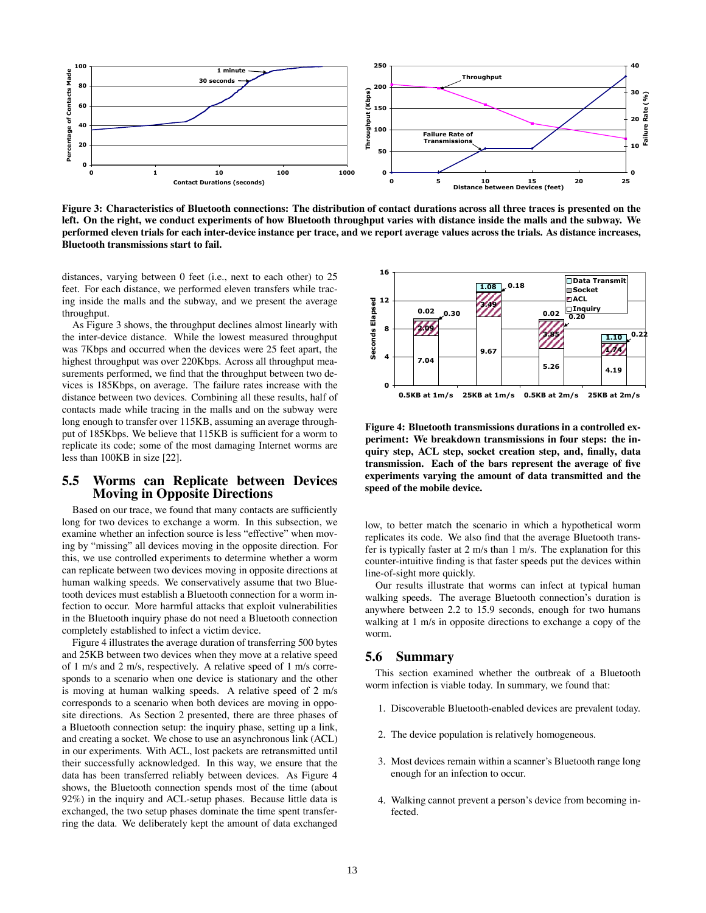

**Figure 3: Characteristics of Bluetooth connections: The distribution of contact durations across all three traces is presented on the left. On the right, we conduct experiments of how Bluetooth throughput varies with distance inside the malls and the subway. We performed eleven trials for each inter-device instance per trace, and we report average values across the trials. As distance increases, Bluetooth transmissions start to fail.**

distances, varying between 0 feet (i.e., next to each other) to 25 feet. For each distance, we performed eleven transfers while tracing inside the malls and the subway, and we present the average throughput.

As Figure 3 shows, the throughput declines almost linearly with the inter-device distance. While the lowest measured throughput was 7Kbps and occurred when the devices were 25 feet apart, the highest throughput was over 220Kbps. Across all throughput measurements performed, we find that the throughput between two devices is 185Kbps, on average. The failure rates increase with the distance between two devices. Combining all these results, half of contacts made while tracing in the malls and on the subway were long enough to transfer over 115KB, assuming an average throughput of 185Kbps. We believe that 115KB is sufficient for a worm to replicate its code; some of the most damaging Internet worms are less than 100KB in size [22].

# **5.5 Worms can Replicate between Devices Moving in Opposite Directions**

Based on our trace, we found that many contacts are sufficiently long for two devices to exchange a worm. In this subsection, we examine whether an infection source is less "effective" when moving by "missing" all devices moving in the opposite direction. For this, we use controlled experiments to determine whether a worm can replicate between two devices moving in opposite directions at human walking speeds. We conservatively assume that two Bluetooth devices must establish a Bluetooth connection for a worm infection to occur. More harmful attacks that exploit vulnerabilities in the Bluetooth inquiry phase do not need a Bluetooth connection completely established to infect a victim device.

Figure 4 illustrates the average duration of transferring 500 bytes and 25KB between two devices when they move at a relative speed of 1 m/s and 2 m/s, respectively. A relative speed of 1 m/s corresponds to a scenario when one device is stationary and the other is moving at human walking speeds. A relative speed of 2 m/s corresponds to a scenario when both devices are moving in opposite directions. As Section 2 presented, there are three phases of a Bluetooth connection setup: the inquiry phase, setting up a link, and creating a socket. We chose to use an asynchronous link (ACL) in our experiments. With ACL, lost packets are retransmitted until their successfully acknowledged. In this way, we ensure that the data has been transferred reliably between devices. As Figure 4 shows, the Bluetooth connection spends most of the time (about 92%) in the inquiry and ACL-setup phases. Because little data is exchanged, the two setup phases dominate the time spent transferring the data. We deliberately kept the amount of data exchanged



**Figure 4: Bluetooth transmissions durations in a controlled experiment: We breakdown transmissions in four steps: the inquiry step, ACL step, socket creation step, and, finally, data transmission. Each of the bars represent the average of five experiments varying the amount of data transmitted and the speed of the mobile device.**

low, to better match the scenario in which a hypothetical worm replicates its code. We also find that the average Bluetooth transfer is typically faster at 2 m/s than 1 m/s. The explanation for this counter-intuitive finding is that faster speeds put the devices within line-of-sight more quickly.

Our results illustrate that worms can infect at typical human walking speeds. The average Bluetooth connection's duration is anywhere between 2.2 to 15.9 seconds, enough for two humans walking at 1 m/s in opposite directions to exchange a copy of the worm.

## **5.6 Summary**

This section examined whether the outbreak of a Bluetooth worm infection is viable today. In summary, we found that:

- 1. Discoverable Bluetooth-enabled devices are prevalent today.
- 2. The device population is relatively homogeneous.
- 3. Most devices remain within a scanner's Bluetooth range long enough for an infection to occur.
- 4. Walking cannot prevent a person's device from becoming infected.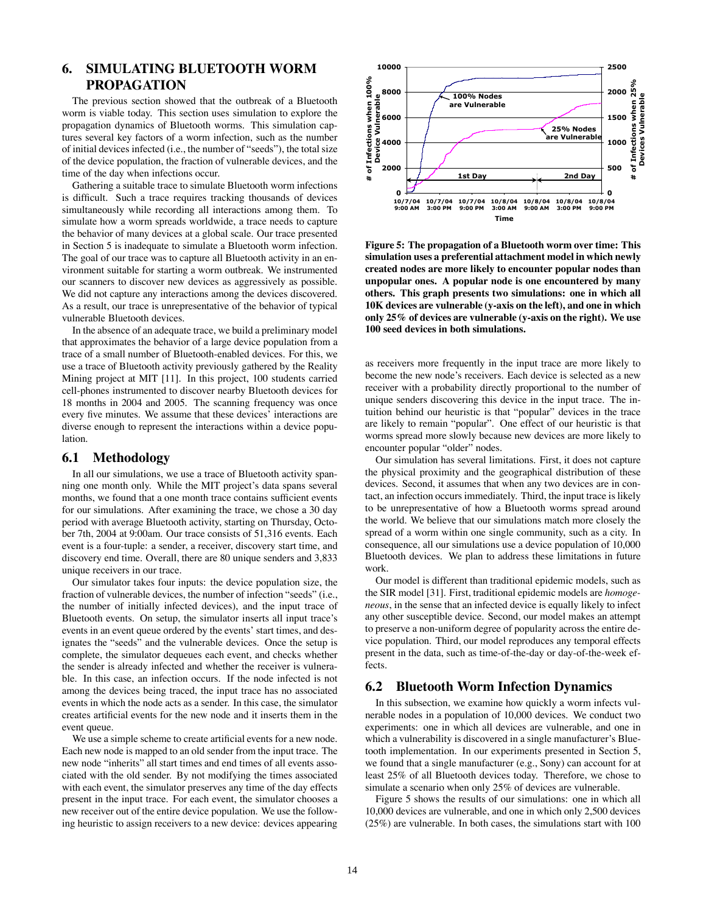# **6. SIMULATING BLUETOOTH WORM PROPAGATION**

The previous section showed that the outbreak of a Bluetooth worm is viable today. This section uses simulation to explore the propagation dynamics of Bluetooth worms. This simulation captures several key factors of a worm infection, such as the number of initial devices infected (i.e., the number of "seeds"), the total size of the device population, the fraction of vulnerable devices, and the time of the day when infections occur.

Gathering a suitable trace to simulate Bluetooth worm infections is difficult. Such a trace requires tracking thousands of devices simultaneously while recording all interactions among them. To simulate how a worm spreads worldwide, a trace needs to capture the behavior of many devices at a global scale. Our trace presented in Section 5 is inadequate to simulate a Bluetooth worm infection. The goal of our trace was to capture all Bluetooth activity in an environment suitable for starting a worm outbreak. We instrumented our scanners to discover new devices as aggressively as possible. We did not capture any interactions among the devices discovered. As a result, our trace is unrepresentative of the behavior of typical vulnerable Bluetooth devices.

In the absence of an adequate trace, we build a preliminary model that approximates the behavior of a large device population from a trace of a small number of Bluetooth-enabled devices. For this, we use a trace of Bluetooth activity previously gathered by the Reality Mining project at MIT [11]. In this project, 100 students carried cell-phones instrumented to discover nearby Bluetooth devices for 18 months in 2004 and 2005. The scanning frequency was once every five minutes. We assume that these devices' interactions are diverse enough to represent the interactions within a device population.

### **6.1 Methodology**

In all our simulations, we use a trace of Bluetooth activity spanning one month only. While the MIT project's data spans several months, we found that a one month trace contains sufficient events for our simulations. After examining the trace, we chose a 30 day period with average Bluetooth activity, starting on Thursday, October 7th, 2004 at 9:00am. Our trace consists of 51,316 events. Each event is a four-tuple: a sender, a receiver, discovery start time, and discovery end time. Overall, there are 80 unique senders and 3,833 unique receivers in our trace.

Our simulator takes four inputs: the device population size, the fraction of vulnerable devices, the number of infection "seeds" (i.e., the number of initially infected devices), and the input trace of Bluetooth events. On setup, the simulator inserts all input trace's events in an event queue ordered by the events' start times, and designates the "seeds" and the vulnerable devices. Once the setup is complete, the simulator dequeues each event, and checks whether the sender is already infected and whether the receiver is vulnerable. In this case, an infection occurs. If the node infected is not among the devices being traced, the input trace has no associated events in which the node acts as a sender. In this case, the simulator creates artificial events for the new node and it inserts them in the event queue.

We use a simple scheme to create artificial events for a new node. Each new node is mapped to an old sender from the input trace. The new node "inherits" all start times and end times of all events associated with the old sender. By not modifying the times associated with each event, the simulator preserves any time of the day effects present in the input trace. For each event, the simulator chooses a new receiver out of the entire device population. We use the following heuristic to assign receivers to a new device: devices appearing



**Figure 5: The propagation of a Bluetooth worm over time: This simulation uses a preferential attachment model in which newly created nodes are more likely to encounter popular nodes than unpopular ones. A popular node is one encountered by many others. This graph presents two simulations: one in which all 10K devices are vulnerable (y-axis on the left), and one in which only 25% of devices are vulnerable (y-axis on the right). We use 100 seed devices in both simulations.**

as receivers more frequently in the input trace are more likely to become the new node's receivers. Each device is selected as a new receiver with a probability directly proportional to the number of unique senders discovering this device in the input trace. The intuition behind our heuristic is that "popular" devices in the trace are likely to remain "popular". One effect of our heuristic is that worms spread more slowly because new devices are more likely to encounter popular "older" nodes.

Our simulation has several limitations. First, it does not capture the physical proximity and the geographical distribution of these devices. Second, it assumes that when any two devices are in contact, an infection occurs immediately. Third, the input trace is likely to be unrepresentative of how a Bluetooth worms spread around the world. We believe that our simulations match more closely the spread of a worm within one single community, such as a city. In consequence, all our simulations use a device population of 10,000 Bluetooth devices. We plan to address these limitations in future work.

Our model is different than traditional epidemic models, such as the SIR model [31]. First, traditional epidemic models are *homogeneous*, in the sense that an infected device is equally likely to infect any other susceptible device. Second, our model makes an attempt to preserve a non-uniform degree of popularity across the entire device population. Third, our model reproduces any temporal effects present in the data, such as time-of-the-day or day-of-the-week effects.

## **6.2 Bluetooth Worm Infection Dynamics**

In this subsection, we examine how quickly a worm infects vulnerable nodes in a population of 10,000 devices. We conduct two experiments: one in which all devices are vulnerable, and one in which a vulnerability is discovered in a single manufacturer's Bluetooth implementation. In our experiments presented in Section 5, we found that a single manufacturer (e.g., Sony) can account for at least 25% of all Bluetooth devices today. Therefore, we chose to simulate a scenario when only 25% of devices are vulnerable.

Figure 5 shows the results of our simulations: one in which all 10,000 devices are vulnerable, and one in which only 2,500 devices (25%) are vulnerable. In both cases, the simulations start with 100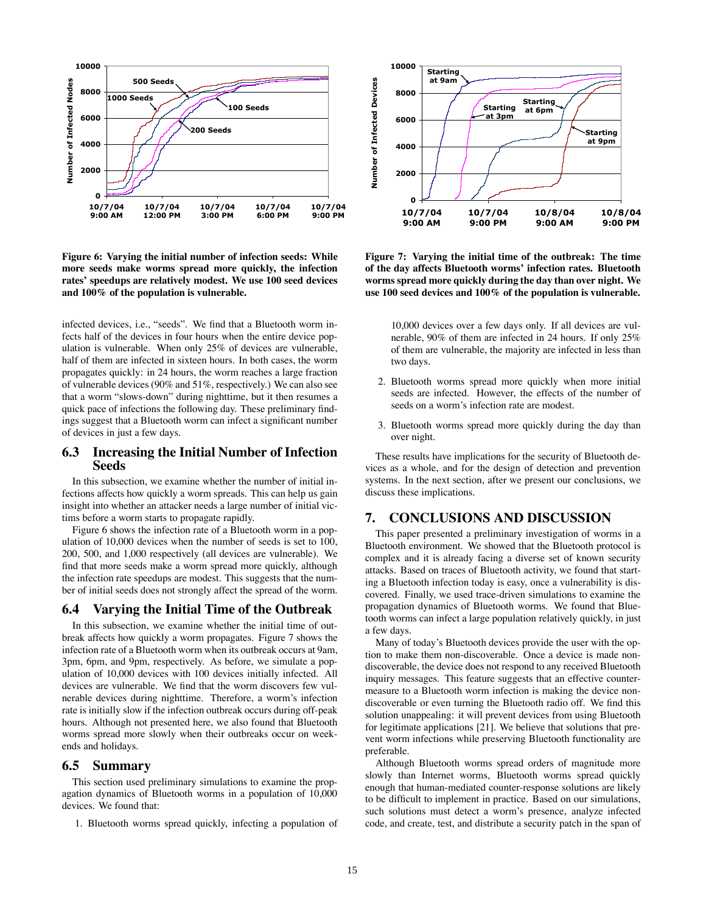

**Figure 6: Varying the initial number of infection seeds: While more seeds make worms spread more quickly, the infection rates' speedups are relatively modest. We use 100 seed devices and 100% of the population is vulnerable.**

infected devices, i.e., "seeds". We find that a Bluetooth worm infects half of the devices in four hours when the entire device population is vulnerable. When only 25% of devices are vulnerable, half of them are infected in sixteen hours. In both cases, the worm propagates quickly: in 24 hours, the worm reaches a large fraction of vulnerable devices (90% and 51%, respectively.) We can also see that a worm "slows-down" during nighttime, but it then resumes a quick pace of infections the following day. These preliminary findings suggest that a Bluetooth worm can infect a significant number of devices in just a few days.

## **6.3 Increasing the Initial Number of Infection Seeds**

In this subsection, we examine whether the number of initial infections affects how quickly a worm spreads. This can help us gain insight into whether an attacker needs a large number of initial victims before a worm starts to propagate rapidly.

Figure 6 shows the infection rate of a Bluetooth worm in a population of 10,000 devices when the number of seeds is set to 100, 200, 500, and 1,000 respectively (all devices are vulnerable). We find that more seeds make a worm spread more quickly, although the infection rate speedups are modest. This suggests that the number of initial seeds does not strongly affect the spread of the worm.

#### **6.4 Varying the Initial Time of the Outbreak**

In this subsection, we examine whether the initial time of outbreak affects how quickly a worm propagates. Figure 7 shows the infection rate of a Bluetooth worm when its outbreak occurs at 9am, 3pm, 6pm, and 9pm, respectively. As before, we simulate a population of 10,000 devices with 100 devices initially infected. All devices are vulnerable. We find that the worm discovers few vulnerable devices during nighttime. Therefore, a worm's infection rate is initially slow if the infection outbreak occurs during off-peak hours. Although not presented here, we also found that Bluetooth worms spread more slowly when their outbreaks occur on weekends and holidays.

#### **6.5 Summary**

This section used preliminary simulations to examine the propagation dynamics of Bluetooth worms in a population of 10,000 devices. We found that:

1. Bluetooth worms spread quickly, infecting a population of



**Figure 7: Varying the initial time of the outbreak: The time of the day affects Bluetooth worms' infection rates. Bluetooth worms spread more quickly during the day than over night. We use 100 seed devices and 100% of the population is vulnerable.**

10,000 devices over a few days only. If all devices are vulnerable, 90% of them are infected in 24 hours. If only 25% of them are vulnerable, the majority are infected in less than two days.

- 2. Bluetooth worms spread more quickly when more initial seeds are infected. However, the effects of the number of seeds on a worm's infection rate are modest.
- 3. Bluetooth worms spread more quickly during the day than over night.

These results have implications for the security of Bluetooth devices as a whole, and for the design of detection and prevention systems. In the next section, after we present our conclusions, we discuss these implications.

# **7. CONCLUSIONS AND DISCUSSION**

This paper presented a preliminary investigation of worms in a Bluetooth environment. We showed that the Bluetooth protocol is complex and it is already facing a diverse set of known security attacks. Based on traces of Bluetooth activity, we found that starting a Bluetooth infection today is easy, once a vulnerability is discovered. Finally, we used trace-driven simulations to examine the propagation dynamics of Bluetooth worms. We found that Bluetooth worms can infect a large population relatively quickly, in just a few days.

Many of today's Bluetooth devices provide the user with the option to make them non-discoverable. Once a device is made nondiscoverable, the device does not respond to any received Bluetooth inquiry messages. This feature suggests that an effective countermeasure to a Bluetooth worm infection is making the device nondiscoverable or even turning the Bluetooth radio off. We find this solution unappealing: it will prevent devices from using Bluetooth for legitimate applications [21]. We believe that solutions that prevent worm infections while preserving Bluetooth functionality are preferable.

Although Bluetooth worms spread orders of magnitude more slowly than Internet worms, Bluetooth worms spread quickly enough that human-mediated counter-response solutions are likely to be difficult to implement in practice. Based on our simulations, such solutions must detect a worm's presence, analyze infected code, and create, test, and distribute a security patch in the span of